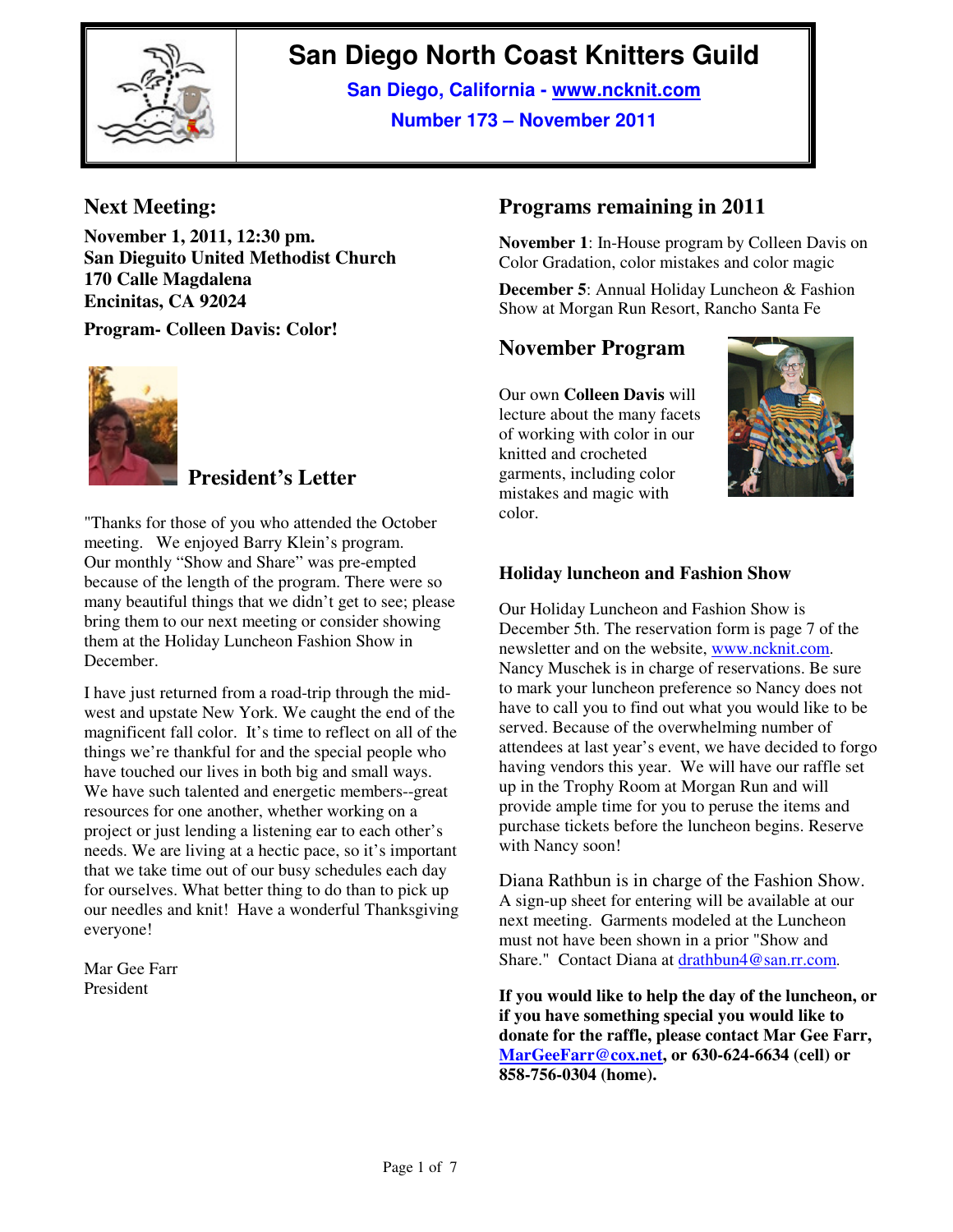

# **San Diego North Coast Knitters Guild**

**San Diego, California - www.ncknit.com Number 173 – November 2011**

# **Next Meeting:**

**November 1, 2011, 12:30 pm. San Dieguito United Methodist Church 170 Calle Magdalena Encinitas, CA 92024** 

**Program- Colleen Davis: Color!** 



# **President's Letter**

"Thanks for those of you who attended the October meeting. We enjoyed Barry Klein's program. Our monthly "Show and Share" was pre-empted because of the length of the program. There were so many beautiful things that we didn't get to see; please bring them to our next meeting or consider showing them at the Holiday Luncheon Fashion Show in December.

I have just returned from a road-trip through the midwest and upstate New York. We caught the end of the magnificent fall color. It's time to reflect on all of the things we're thankful for and the special people who have touched our lives in both big and small ways. We have such talented and energetic members--great resources for one another, whether working on a project or just lending a listening ear to each other's needs. We are living at a hectic pace, so it's important that we take time out of our busy schedules each day for ourselves. What better thing to do than to pick up our needles and knit! Have a wonderful Thanksgiving everyone!

Mar Gee Farr President

# **Programs remaining in 2011**

**November 1**: In-House program by Colleen Davis on Color Gradation, color mistakes and color magic

**December 5**: Annual Holiday Luncheon & Fashion Show at Morgan Run Resort, Rancho Santa Fe

## **November Program**

Our own **Colleen Davis** will lecture about the many facets of working with color in our knitted and crocheted garments, including color mistakes and magic with color.



### **Holiday luncheon and Fashion Show**

Our Holiday Luncheon and Fashion Show is December 5th. The reservation form is page 7 of the newsletter and on the website, www.ncknit.com. Nancy Muschek is in charge of reservations. Be sure to mark your luncheon preference so Nancy does not have to call you to find out what you would like to be served. Because of the overwhelming number of attendees at last year's event, we have decided to forgo having vendors this year. We will have our raffle set up in the Trophy Room at Morgan Run and will provide ample time for you to peruse the items and purchase tickets before the luncheon begins. Reserve with Nancy soon!

Diana Rathbun is in charge of the Fashion Show. A sign-up sheet for entering will be available at our next meeting. Garments modeled at the Luncheon must not have been shown in a prior "Show and Share." Contact Diana at drathbun4@san.rr.com.

**If you would like to help the day of the luncheon, or if you have something special you would like to donate for the raffle, please contact Mar Gee Farr, MarGeeFarr@cox.net, or 630-624-6634 (cell) or 858-756-0304 (home).**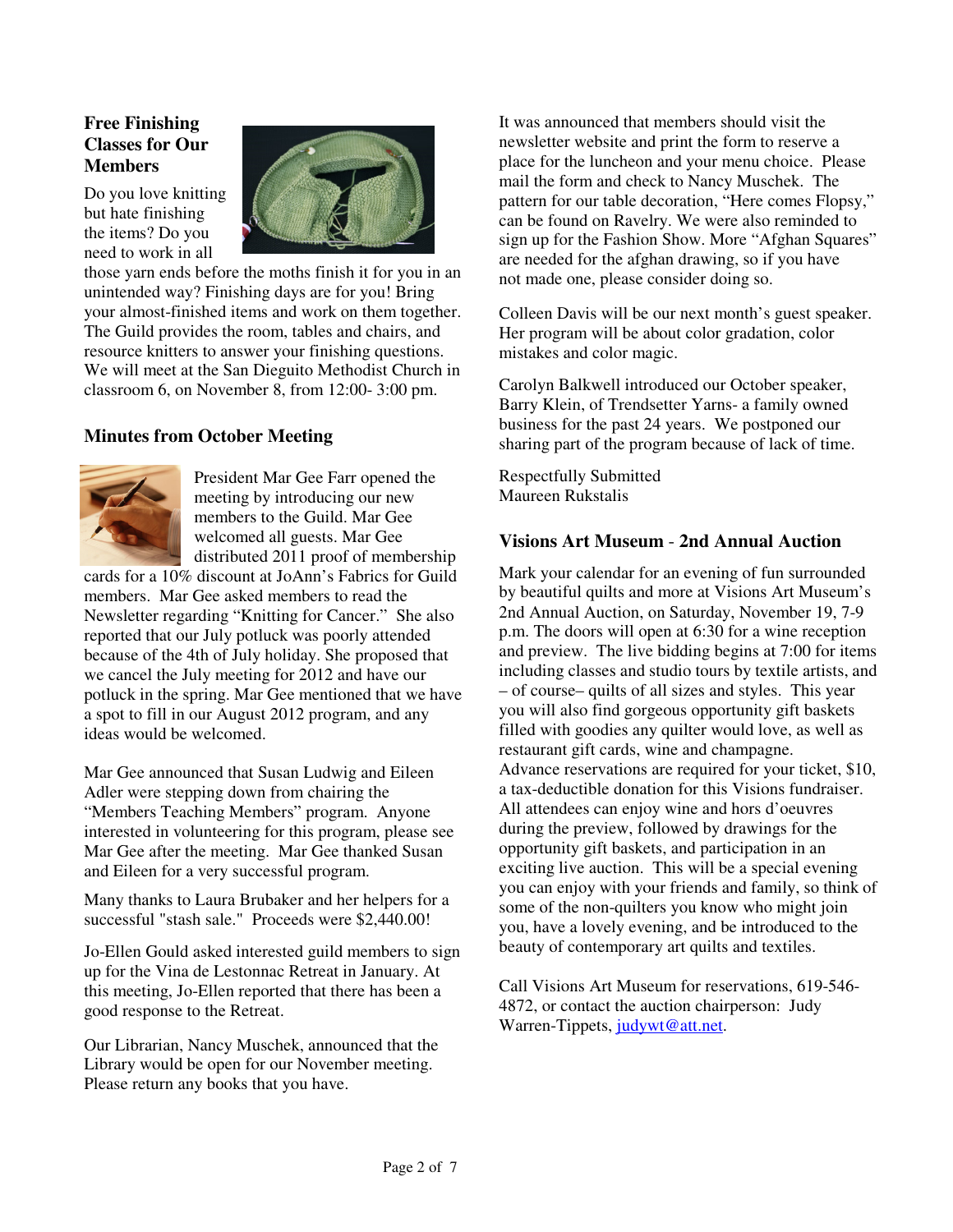### **Free Finishing Classes for Our Members**

Do you love knitting but hate finishing the items? Do you need to work in all



those yarn ends before the moths finish it for you in an unintended way? Finishing days are for you! Bring your almost-finished items and work on them together. The Guild provides the room, tables and chairs, and resource knitters to answer your finishing questions. We will meet at the San Dieguito Methodist Church in classroom 6, on November 8, from 12:00- 3:00 pm.

### **Minutes from October Meeting**



President Mar Gee Farr opened the meeting by introducing our new members to the Guild. Mar Gee welcomed all guests. Mar Gee distributed 2011 proof of membership

cards for a 10% discount at JoAnn's Fabrics for Guild members. Mar Gee asked members to read the Newsletter regarding "Knitting for Cancer." She also reported that our July potluck was poorly attended because of the 4th of July holiday. She proposed that we cancel the July meeting for 2012 and have our potluck in the spring. Mar Gee mentioned that we have a spot to fill in our August 2012 program, and any ideas would be welcomed.

Mar Gee announced that Susan Ludwig and Eileen Adler were stepping down from chairing the "Members Teaching Members" program. Anyone interested in volunteering for this program, please see Mar Gee after the meeting. Mar Gee thanked Susan and Eileen for a very successful program.

Many thanks to Laura Brubaker and her helpers for a successful "stash sale." Proceeds were \$2,440.00!

Jo-Ellen Gould asked interested guild members to sign up for the Vina de Lestonnac Retreat in January. At this meeting, Jo-Ellen reported that there has been a good response to the Retreat.

Our Librarian, Nancy Muschek, announced that the Library would be open for our November meeting. Please return any books that you have.

It was announced that members should visit the newsletter website and print the form to reserve a place for the luncheon and your menu choice. Please mail the form and check to Nancy Muschek. The pattern for our table decoration, "Here comes Flopsy," can be found on Ravelry. We were also reminded to sign up for the Fashion Show. More "Afghan Squares" are needed for the afghan drawing, so if you have not made one, please consider doing so.

Colleen Davis will be our next month's guest speaker. Her program will be about color gradation, color mistakes and color magic.

Carolyn Balkwell introduced our October speaker, Barry Klein, of Trendsetter Yarns- a family owned business for the past 24 years. We postponed our sharing part of the program because of lack of time.

Respectfully Submitted Maureen Rukstalis

### **Visions Art Museum** - **2nd Annual Auction**

Mark your calendar for an evening of fun surrounded by beautiful quilts and more at Visions Art Museum's 2nd Annual Auction, on Saturday, November 19, 7-9 p.m. The doors will open at 6:30 for a wine reception and preview. The live bidding begins at 7:00 for items including classes and studio tours by textile artists, and – of course– quilts of all sizes and styles. This year you will also find gorgeous opportunity gift baskets filled with goodies any quilter would love, as well as restaurant gift cards, wine and champagne. Advance reservations are required for your ticket, \$10, a tax-deductible donation for this Visions fundraiser. All attendees can enjoy wine and hors d'oeuvres during the preview, followed by drawings for the opportunity gift baskets, and participation in an exciting live auction. This will be a special evening you can enjoy with your friends and family, so think of some of the non-quilters you know who might join you, have a lovely evening, and be introduced to the beauty of contemporary art quilts and textiles.

Call Visions Art Museum for reservations, 619-546- 4872, or contact the auction chairperson: Judy Warren-Tippets, judywt@att.net.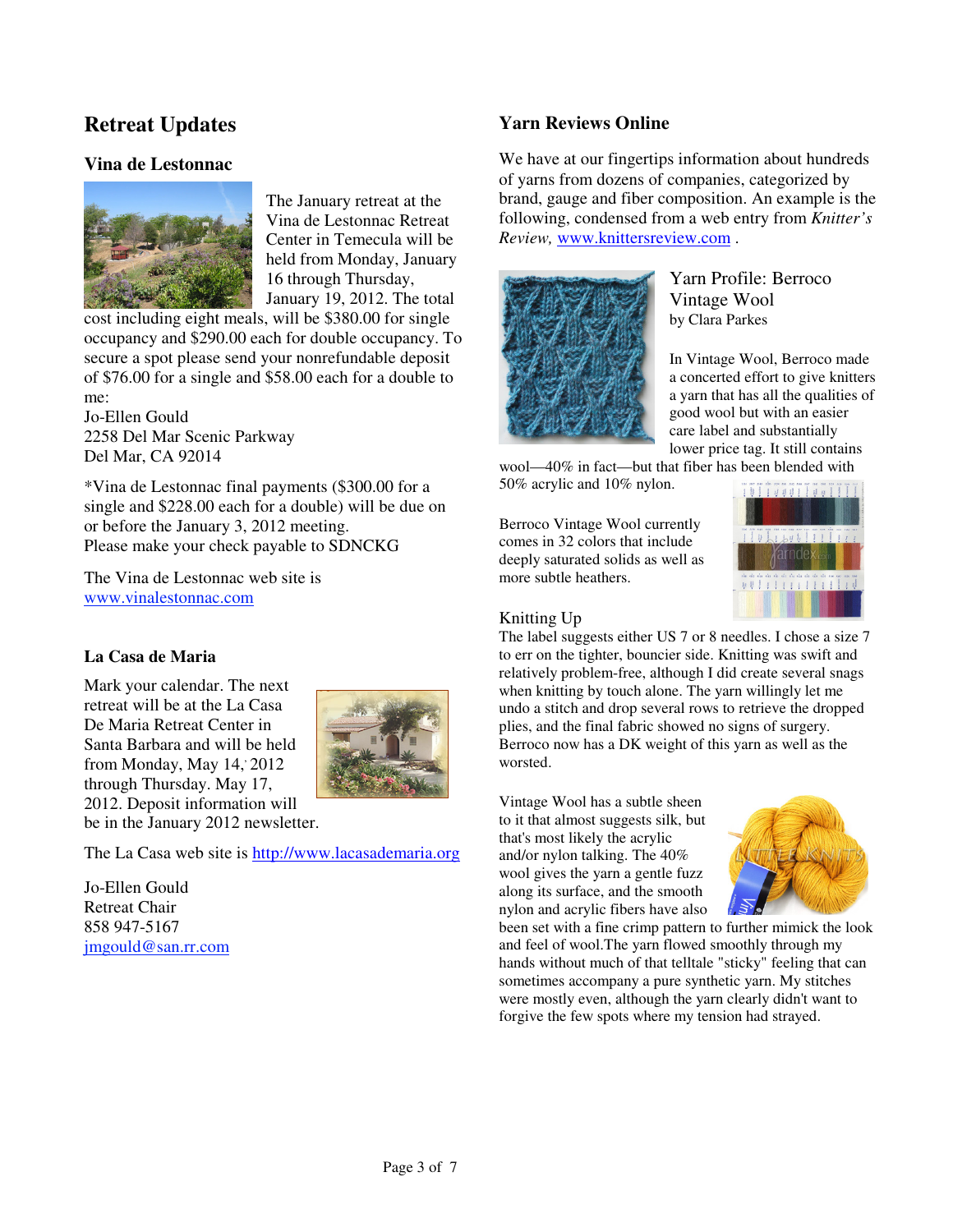# **Retreat Updates**

#### **Vina de Lestonnac**



The January retreat at the Vina de Lestonnac Retreat Center in Temecula will be held from Monday, January 16 through Thursday, January 19, 2012. The total

cost including eight meals, will be \$380.00 for single occupancy and \$290.00 each for double occupancy. To secure a spot please send your nonrefundable deposit of \$76.00 for a single and \$58.00 each for a double to me:

Jo-Ellen Gould 2258 Del Mar Scenic Parkway Del Mar, CA 92014

\*Vina de Lestonnac final payments (\$300.00 for a single and \$228.00 each for a double) will be due on or before the January 3, 2012 meeting. Please make your check payable to SDNCKG

The Vina de Lestonnac web site is www.vinalestonnac.com

#### **La Casa de Maria**

Mark your calendar. The next retreat will be at the La Casa De Maria Retreat Center in Santa Barbara and will be held from Monday, May  $14$ ,  $2012$ through Thursday. May 17, 2012. Deposit information will



be in the January 2012 newsletter.

The La Casa web site is http://www.lacasademaria.org

Jo-Ellen Gould Retreat Chair 858 947-5167 jmgould@san.rr.com

### **Yarn Reviews Online**

We have at our fingertips information about hundreds of yarns from dozens of companies, categorized by brand, gauge and fiber composition. An example is the following, condensed from a web entry from *Knitter's Review,* www.knittersreview.com .



Yarn Profile: Berroco Vintage Wool by Clara Parkes

In Vintage Wool, Berroco made a concerted effort to give knitters a yarn that has all the qualities of good wool but with an easier care label and substantially lower price tag. It still contains

wool—40% in fact—but that fiber has been blended with 50% acrylic and 10% nylon.

Berroco Vintage Wool currently comes in 32 colors that include deeply saturated solids as well as more subtle heathers.



#### Knitting Up

The label suggests either US 7 or 8 needles. I chose a size 7 to err on the tighter, bouncier side. Knitting was swift and relatively problem-free, although I did create several snags when knitting by touch alone. The yarn willingly let me undo a stitch and drop several rows to retrieve the dropped plies, and the final fabric showed no signs of surgery. Berroco now has a DK weight of this yarn as well as the worsted.

Vintage Wool has a subtle sheen to it that almost suggests silk, but that's most likely the acrylic and/or nylon talking. The 40% wool gives the yarn a gentle fuzz along its surface, and the smooth nylon and acrylic fibers have also



been set with a fine crimp pattern to further mimick the look and feel of wool.The yarn flowed smoothly through my hands without much of that telltale "sticky" feeling that can sometimes accompany a pure synthetic yarn. My stitches were mostly even, although the yarn clearly didn't want to forgive the few spots where my tension had strayed.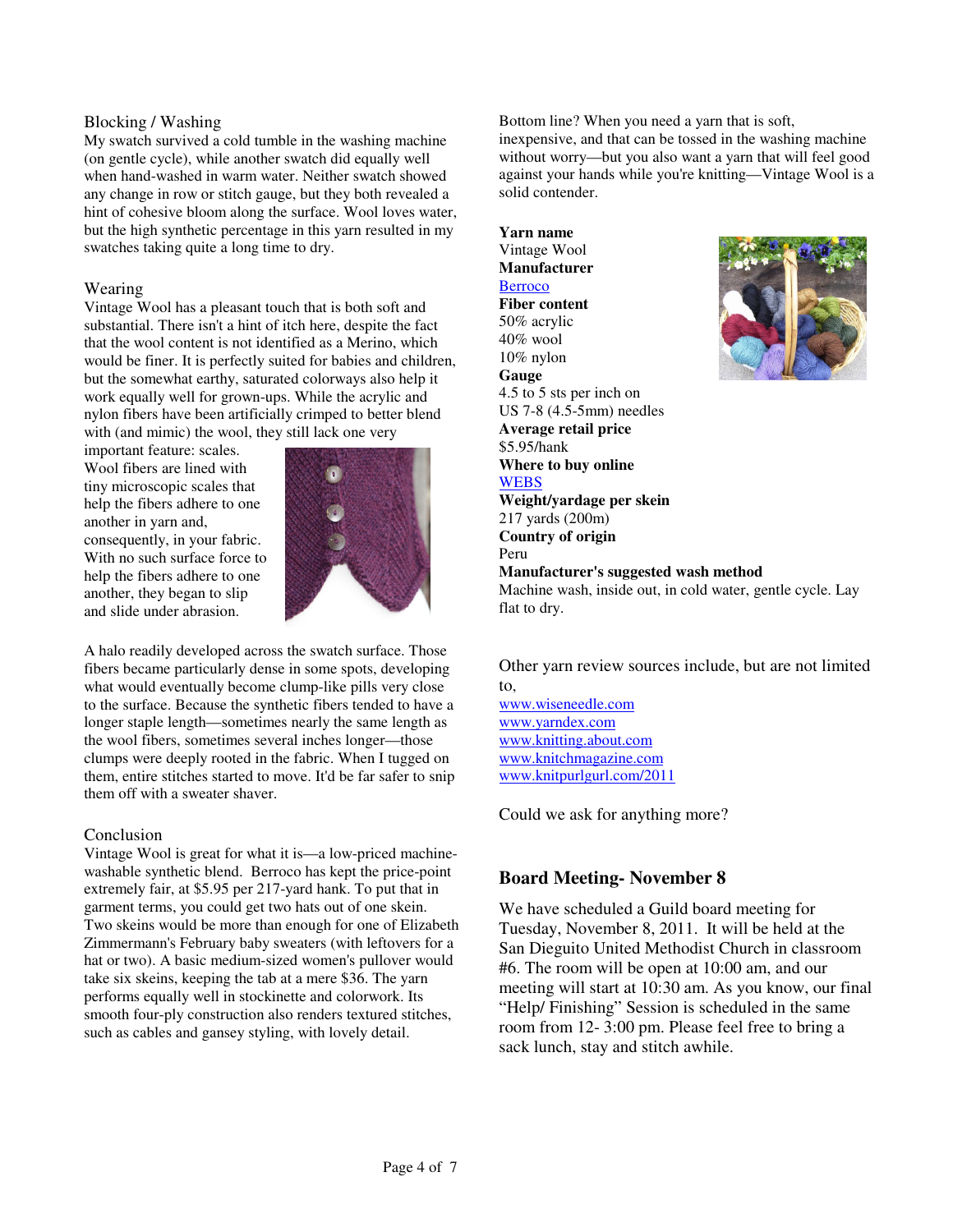#### Blocking / Washing

My swatch survived a cold tumble in the washing machine (on gentle cycle), while another swatch did equally well when hand-washed in warm water. Neither swatch showed any change in row or stitch gauge, but they both revealed a hint of cohesive bloom along the surface. Wool loves water, but the high synthetic percentage in this yarn resulted in my swatches taking quite a long time to dry.

#### Wearing

Vintage Wool has a pleasant touch that is both soft and substantial. There isn't a hint of itch here, despite the fact that the wool content is not identified as a Merino, which would be finer. It is perfectly suited for babies and children, but the somewhat earthy, saturated colorways also help it work equally well for grown-ups. While the acrylic and nylon fibers have been artificially crimped to better blend with (and mimic) the wool, they still lack one very

important feature: scales. Wool fibers are lined with tiny microscopic scales that help the fibers adhere to one another in yarn and, consequently, in your fabric. With no such surface force to help the fibers adhere to one another, they began to slip and slide under abrasion.



A halo readily developed across the swatch surface. Those fibers became particularly dense in some spots, developing what would eventually become clump-like pills very close to the surface. Because the synthetic fibers tended to have a longer staple length—sometimes nearly the same length as the wool fibers, sometimes several inches longer—those clumps were deeply rooted in the fabric. When I tugged on them, entire stitches started to move. It'd be far safer to snip them off with a sweater shaver.

#### Conclusion

Vintage Wool is great for what it is—a low-priced machinewashable synthetic blend. Berroco has kept the price-point extremely fair, at \$5.95 per 217-yard hank. To put that in garment terms, you could get two hats out of one skein. Two skeins would be more than enough for one of Elizabeth Zimmermann's February baby sweaters (with leftovers for a hat or two). A basic medium-sized women's pullover would take six skeins, keeping the tab at a mere \$36. The yarn performs equally well in stockinette and colorwork. Its smooth four-ply construction also renders textured stitches, such as cables and gansey styling, with lovely detail.

Bottom line? When you need a yarn that is soft,

inexpensive, and that can be tossed in the washing machine without worry—but you also want a yarn that will feel good against your hands while you're knitting—Vintage Wool is a solid contender.

**Yarn name** Vintage Wool **Manufacturer Berroco Fiber content** 50% acrylic 40% wool 10% nylon **Gauge**  4.5 to 5 sts per inch on US 7-8 (4.5-5mm) needles **Average retail price** \$5.95/hank **Where to buy online WEBS Weight/yardage per skein** 217 yards (200m) **Country of origin** Peru **Manufacturer's suggested wash method** Machine wash, inside out, in cold water, gentle cycle. Lay flat to dry.



Other yarn review sources include, but are not limited to,

www.wiseneedle.com www.yarndex.com www.knitting.about.com www.knitchmagazine.com www.knitpurlgurl.com/2011

Could we ask for anything more?

#### **Board Meeting- November 8**

We have scheduled a Guild board meeting for Tuesday, November 8, 2011. It will be held at the San Dieguito United Methodist Church in classroom #6. The room will be open at 10:00 am, and our meeting will start at 10:30 am. As you know, our final "Help/ Finishing" Session is scheduled in the same room from 12- 3:00 pm. Please feel free to bring a sack lunch, stay and stitch awhile.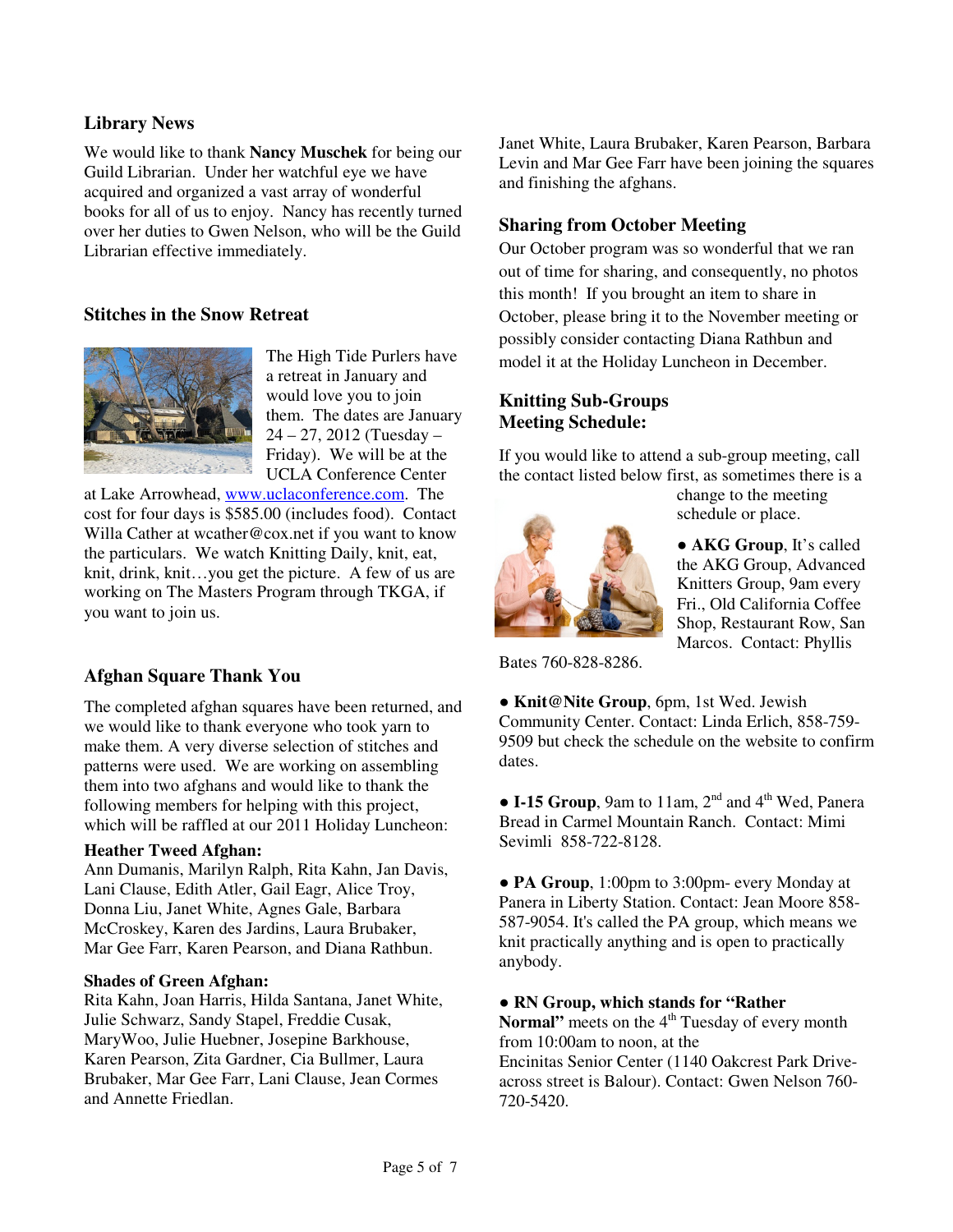### **Library News**

We would like to thank **Nancy Muschek** for being our Guild Librarian. Under her watchful eye we have acquired and organized a vast array of wonderful books for all of us to enjoy. Nancy has recently turned over her duties to Gwen Nelson, who will be the Guild Librarian effective immediately.

### **Stitches in the Snow Retreat**



The High Tide Purlers have a retreat in January and would love you to join them. The dates are January 24 – 27, 2012 (Tuesday – Friday). We will be at the UCLA Conference Center

at Lake Arrowhead, www.uclaconference.com. The cost for four days is \$585.00 (includes food). Contact Willa Cather at wcather@cox.net if you want to know the particulars. We watch Knitting Daily, knit, eat, knit, drink, knit…you get the picture. A few of us are working on The Masters Program through TKGA, if you want to join us.

### **Afghan Square Thank You**

The completed afghan squares have been returned, and we would like to thank everyone who took yarn to make them. A very diverse selection of stitches and patterns were used. We are working on assembling them into two afghans and would like to thank the following members for helping with this project, which will be raffled at our 2011 Holiday Luncheon:

#### **Heather Tweed Afghan:**

Ann Dumanis, Marilyn Ralph, Rita Kahn, Jan Davis, Lani Clause, Edith Atler, Gail Eagr, Alice Troy, Donna Liu, Janet White, Agnes Gale, Barbara McCroskey, Karen des Jardins, Laura Brubaker, Mar Gee Farr, Karen Pearson, and Diana Rathbun.

#### **Shades of Green Afghan:**

Rita Kahn, Joan Harris, Hilda Santana, Janet White, Julie Schwarz, Sandy Stapel, Freddie Cusak, MaryWoo, Julie Huebner, Josepine Barkhouse, Karen Pearson, Zita Gardner, Cia Bullmer, Laura Brubaker, Mar Gee Farr, Lani Clause, Jean Cormes and Annette Friedlan.

Janet White, Laura Brubaker, Karen Pearson, Barbara Levin and Mar Gee Farr have been joining the squares and finishing the afghans.

### **Sharing from October Meeting**

Our October program was so wonderful that we ran out of time for sharing, and consequently, no photos this month! If you brought an item to share in October, please bring it to the November meeting or possibly consider contacting Diana Rathbun and model it at the Holiday Luncheon in December.

### **Knitting Sub-Groups Meeting Schedule:**

If you would like to attend a sub-group meeting, call the contact listed below first, as sometimes there is a



change to the meeting schedule or place.

● **AKG Group**, It's called the AKG Group, Advanced Knitters Group, 9am every Fri., Old California Coffee Shop, Restaurant Row, San Marcos. Contact: Phyllis

Bates 760-828-8286.

● **Knit@Nite Group**, 6pm, 1st Wed. Jewish Community Center. Contact: Linda Erlich, 858-759- 9509 but check the schedule on the website to confirm dates.

 $\bullet$  **I-15 Group**, 9am to 11am, 2<sup>nd</sup> and 4<sup>th</sup> Wed, Panera Bread in Carmel Mountain Ranch. Contact: Mimi Sevimli 858-722-8128.

● **PA Group**, 1:00pm to 3:00pm- every Monday at Panera in Liberty Station. Contact: Jean Moore 858- 587-9054. It's called the PA group, which means we knit practically anything and is open to practically anybody.

#### ● **RN Group, which stands for "Rather**

**Normal**" meets on the 4<sup>th</sup> Tuesday of every month from 10:00am to noon, at the

Encinitas Senior Center (1140 Oakcrest Park Driveacross street is Balour). Contact: Gwen Nelson 760- 720-5420.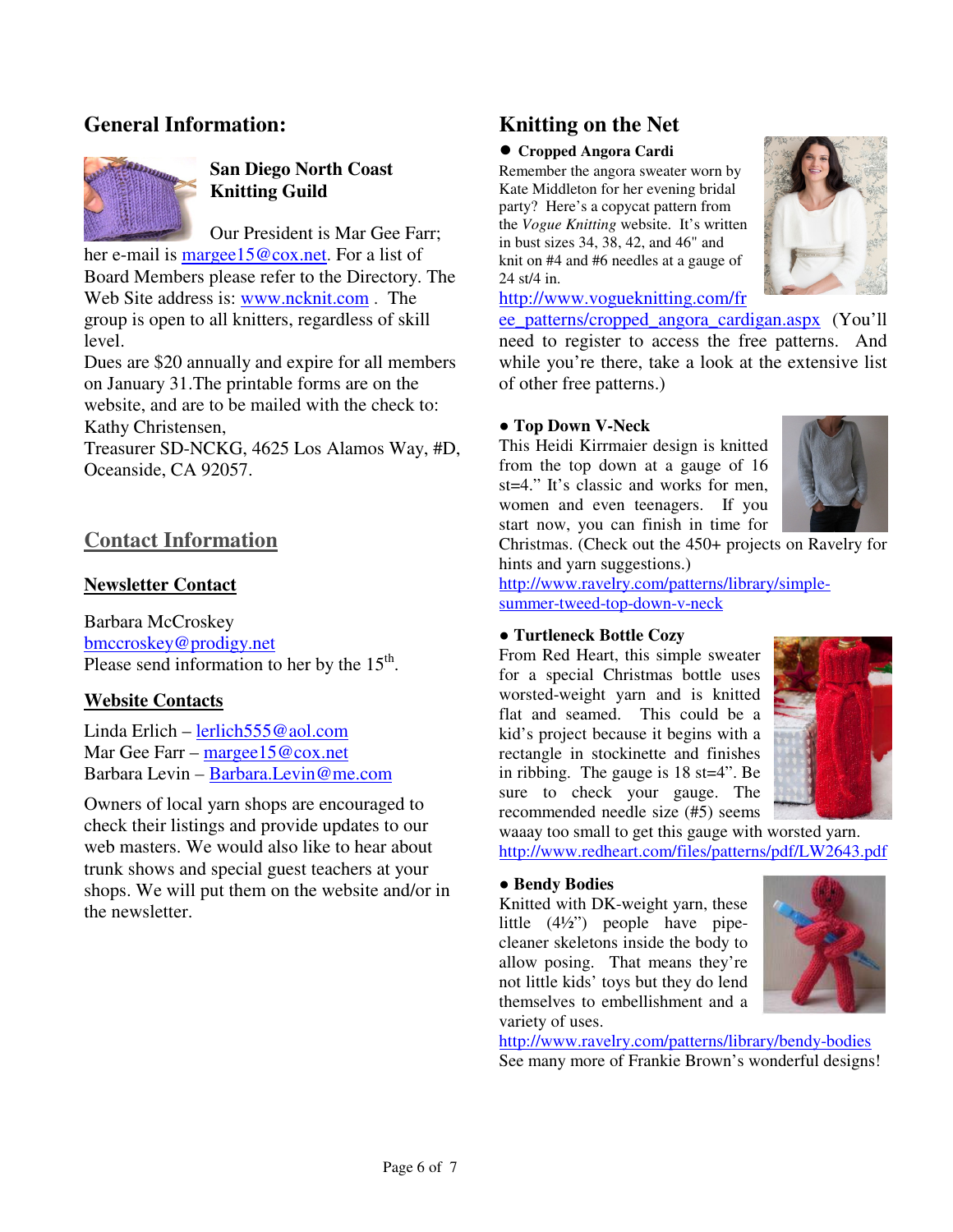# **General Information:**



# **San Diego North Coast Knitting Guild**

Our President is Mar Gee Farr; her e-mail is margee15@cox.net. For a list of Board Members please refer to the Directory. The Web Site address is: www.ncknit.com . The group is open to all knitters, regardless of skill level.

Dues are \$20 annually and expire for all members on January 31.The printable forms are on the website, and are to be mailed with the check to: Kathy Christensen,

Treasurer SD-NCKG, 4625 Los Alamos Way, #D, Oceanside, CA 92057.

# **Contact Information**

### **Newsletter Contact**

Barbara McCroskey bmccroskey@prodigy.net Please send information to her by the  $15<sup>th</sup>$ .

### **Website Contacts**

Linda Erlich – lerlich555@aol.com Mar Gee Farr – margee15@cox.net Barbara Levin – Barbara.Levin@me.com

Owners of local yarn shops are encouraged to check their listings and provide updates to our web masters. We would also like to hear about trunk shows and special guest teachers at your shops. We will put them on the website and/or in the newsletter.

# **Knitting on the Net**

#### ● **Cropped Angora Cardi**

Remember the angora sweater worn by Kate Middleton for her evening bridal party? Here's a copycat pattern from the *Vogue Knitting* website. It's written in bust sizes 34, 38, 42, and 46" and knit on #4 and #6 needles at a gauge of 24 st/4 in.

http://www.vogueknitting.com/fr

ee\_patterns/cropped\_angora\_cardigan.aspx (You'll need to register to access the free patterns. And while you're there, take a look at the extensive list of other free patterns.)

#### ● **Top Down V-Neck**

This Heidi Kirrmaier design is knitted from the top down at a gauge of 16 st=4." It's classic and works for men, women and even teenagers. If you start now, you can finish in time for



Christmas. (Check out the 450+ projects on Ravelry for hints and yarn suggestions.)

http://www.ravelry.com/patterns/library/simplesummer-tweed-top-down-v-neck

#### ● **Turtleneck Bottle Cozy**

From Red Heart, this simple sweater for a special Christmas bottle uses worsted-weight yarn and is knitted flat and seamed. This could be a kid's project because it begins with a rectangle in stockinette and finishes in ribbing. The gauge is 18 st=4". Be sure to check your gauge. The recommended needle size (#5) seems



waaay too small to get this gauge with worsted yarn. http://www.redheart.com/files/patterns/pdf/LW2643.pdf

#### ● **Bendy Bodies**

Knitted with DK-weight yarn, these little (4½") people have pipecleaner skeletons inside the body to allow posing. That means they're not little kids' toys but they do lend themselves to embellishment and a variety of uses.



http://www.ravelry.com/patterns/library/bendy-bodies See many more of Frankie Brown's wonderful designs!